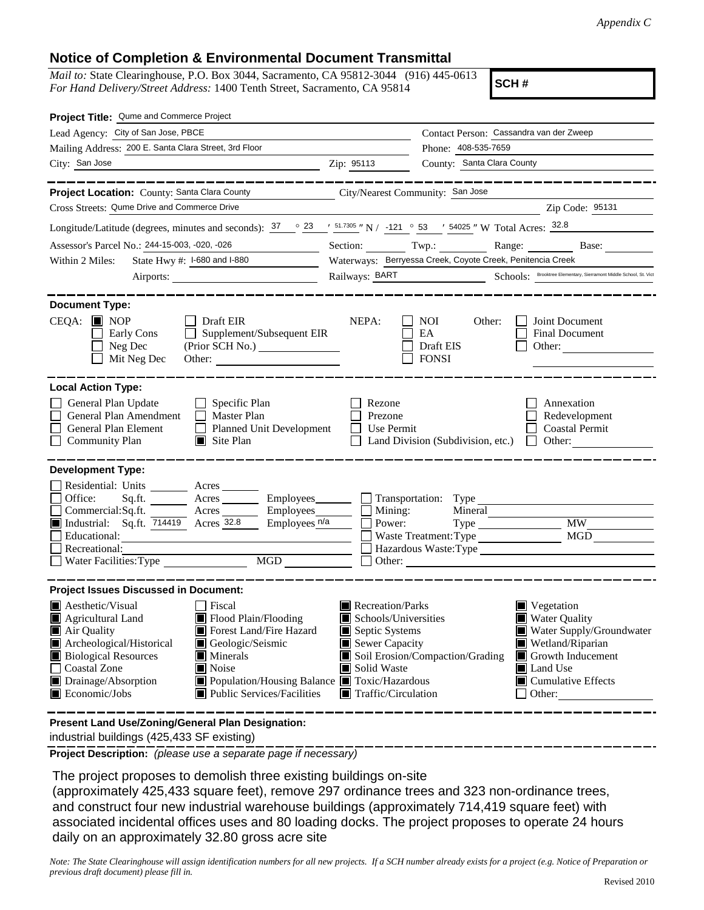## **Notice of Completion & Environmental Document Transmittal**

*Mail to:* State Clearinghouse, P.O. Box 3044, Sacramento, CA 95812-3044 (916) 445-0613 *For Hand Delivery/Street Address:* 1400 Tenth Street, Sacramento, CA 95814

**SCH #**

| Project Title: Qume and Commerce Project                                                                                                                                       |                                                            |                                                               |                            |                                                                   |
|--------------------------------------------------------------------------------------------------------------------------------------------------------------------------------|------------------------------------------------------------|---------------------------------------------------------------|----------------------------|-------------------------------------------------------------------|
| Lead Agency: City of San Jose, PBCE                                                                                                                                            |                                                            |                                                               |                            | Contact Person: Cassandra van der Zweep                           |
| Mailing Address: 200 E. Santa Clara Street, 3rd Floor                                                                                                                          |                                                            |                                                               | Phone: 408-535-7659        |                                                                   |
| City: San Jose                                                                                                                                                                 |                                                            | Zip: 95113                                                    | County: Santa Clara County |                                                                   |
|                                                                                                                                                                                |                                                            |                                                               |                            |                                                                   |
| Project Location: County: Santa Clara County                                                                                                                                   |                                                            | City/Nearest Community: San Jose                              |                            |                                                                   |
| Cross Streets: Qume Drive and Commerce Drive                                                                                                                                   |                                                            |                                                               |                            | Zip Code: 95131                                                   |
| Longitude/Latitude (degrees, minutes and seconds): $\frac{37}{100}$ $\frac{23}{100}$ $\frac{151.7305}{100}$ N / -121 $\degree$ 53 / 54025 " W Total Acres: $\frac{32.8}{1000}$ |                                                            |                                                               |                            |                                                                   |
| Assessor's Parcel No.: 244-15-003, -020, -026                                                                                                                                  |                                                            | Section:<br>Twp.:                                             | Range:                     | Base:                                                             |
| State Hwy #: I-680 and I-880<br>Within 2 Miles:                                                                                                                                | Waterways: Berryessa Creek, Coyote Creek, Penitencia Creek |                                                               |                            |                                                                   |
|                                                                                                                                                                                | Airports:                                                  | Railways: BART                                                |                            | Schools: Brooktree Elementary, Sierramont Middle School, St. Vict |
|                                                                                                                                                                                |                                                            |                                                               |                            |                                                                   |
| <b>Document Type:</b>                                                                                                                                                          |                                                            |                                                               |                            |                                                                   |
| $CEQA: \blacksquare$ NOP                                                                                                                                                       | $\Box$ Draft EIR                                           | NEPA:<br>$\Box$ NOI                                           | Other:                     | <b>Joint Document</b>                                             |
| $\Box$ Early Cons<br>$\Box$ Neg Dec                                                                                                                                            | $\Box$ Supplement/Subsequent EIR                           | $\Box$ EA<br>$\Box$ Draft EIS                                 |                            | $\Box$ Final Document<br>$\Box$ Other:                            |
| $\Box$ Mit Neg Dec                                                                                                                                                             | Other:                                                     | $\Box$ FONSI                                                  |                            |                                                                   |
|                                                                                                                                                                                |                                                            |                                                               |                            |                                                                   |
| <b>Local Action Type:</b>                                                                                                                                                      |                                                            |                                                               |                            |                                                                   |
| General Plan Update                                                                                                                                                            | $\Box$ Specific Plan                                       | Rezone                                                        |                            | Annexation                                                        |
| $\Box$ General Plan Amendment                                                                                                                                                  | Master Plan                                                | <b>Prezone</b>                                                |                            | Redevelopment                                                     |
| General Plan Element<br>$\Box$ Community Plan                                                                                                                                  | Planned Unit Development<br>Site Plan                      | $\Box$ Use Permit<br>$\Box$ Land Division (Subdivision, etc.) |                            | <b>Coastal Permit</b><br>$\mathbf{1}$<br>$\Box$ Other:            |
|                                                                                                                                                                                |                                                            |                                                               |                            |                                                                   |
| <b>Development Type:</b>                                                                                                                                                       |                                                            |                                                               |                            |                                                                   |
| $\Box$ Residential: Units                                                                                                                                                      | Acres                                                      |                                                               |                            |                                                                   |
| □ Office:<br>Sq.ft.                                                                                                                                                            | Employees_<br>$A$ cres $\_\_$                              | $\Box$ Transportation: Type                                   |                            |                                                                   |
| $\Box$ Commercial: Sq.ft.                                                                                                                                                      | Employees_<br>Acres _                                      | $\Box$ Mining:                                                |                            | <b>Mineral</b>                                                    |
| Industrial: Sq.ft. 714419 Acres 32.8                                                                                                                                           | Employees $n/a$                                            | Power:                                                        |                            | <b>MW</b>                                                         |
| Educational:<br>Recreational:                                                                                                                                                  |                                                            |                                                               |                            | Hazardous Waste:Type                                              |
| $\Box$ Water Facilities: Type                                                                                                                                                  | <b>MGD</b>                                                 | $\Box$ Other:                                                 |                            |                                                                   |
|                                                                                                                                                                                |                                                            |                                                               |                            |                                                                   |
| <b>Project Issues Discussed in Document:</b>                                                                                                                                   |                                                            |                                                               |                            |                                                                   |
| Aesthetic/Visual                                                                                                                                                               | $\Box$ Fiscal                                              | Recreation/Parks                                              |                            | $\blacksquare$ Vegetation                                         |
| Agricultural Land                                                                                                                                                              | Flood Plain/Flooding                                       | Schools/Universities                                          |                            | ■ Water Quality                                                   |
| Air Quality                                                                                                                                                                    | Forest Land/Fire Hazard                                    | Septic Systems                                                |                            | Water Supply/Groundwater                                          |
| Archeological/Historical                                                                                                                                                       | Geologic/Seismic                                           | Sewer Capacity                                                |                            | Wetland/Riparian                                                  |
| <b>Biological Resources</b><br>Coastal Zone                                                                                                                                    | <b>Minerals</b><br>Noise                                   | Soil Erosion/Compaction/Grading<br>Solid Waste                |                            | Growth Inducement<br>Land Use                                     |
| Drainage/Absorption                                                                                                                                                            | Population/Housing Balance ■ Toxic/Hazardous               |                                                               |                            | $\blacksquare$ Cumulative Effects                                 |
| Economic/Jobs                                                                                                                                                                  | $\blacksquare$ Public Services/Facilities                  | Traffic/Circulation                                           |                            | $\Box$ Other:                                                     |
|                                                                                                                                                                                |                                                            |                                                               |                            |                                                                   |

**Present Land Use/Zoning/General Plan Designation:**

industrial buildings (425,433 SF existing)

**Project Description:** *(please use a separate page if necessary)*

The project proposes to demolish three existing buildings on-site

(approximately 425,433 square feet), remove 297 ordinance trees and 323 non-ordinance trees, and construct four new industrial warehouse buildings (approximately 714,419 square feet) with associated incidental offices uses and 80 loading docks. The project proposes to operate 24 hours daily on an approximately 32.80 gross acre site

*Note: The State Clearinghouse will assign identification numbers for all new projects. If a SCH number already exists for a project (e.g. Notice of Preparation or previous draft document) please fill in.*